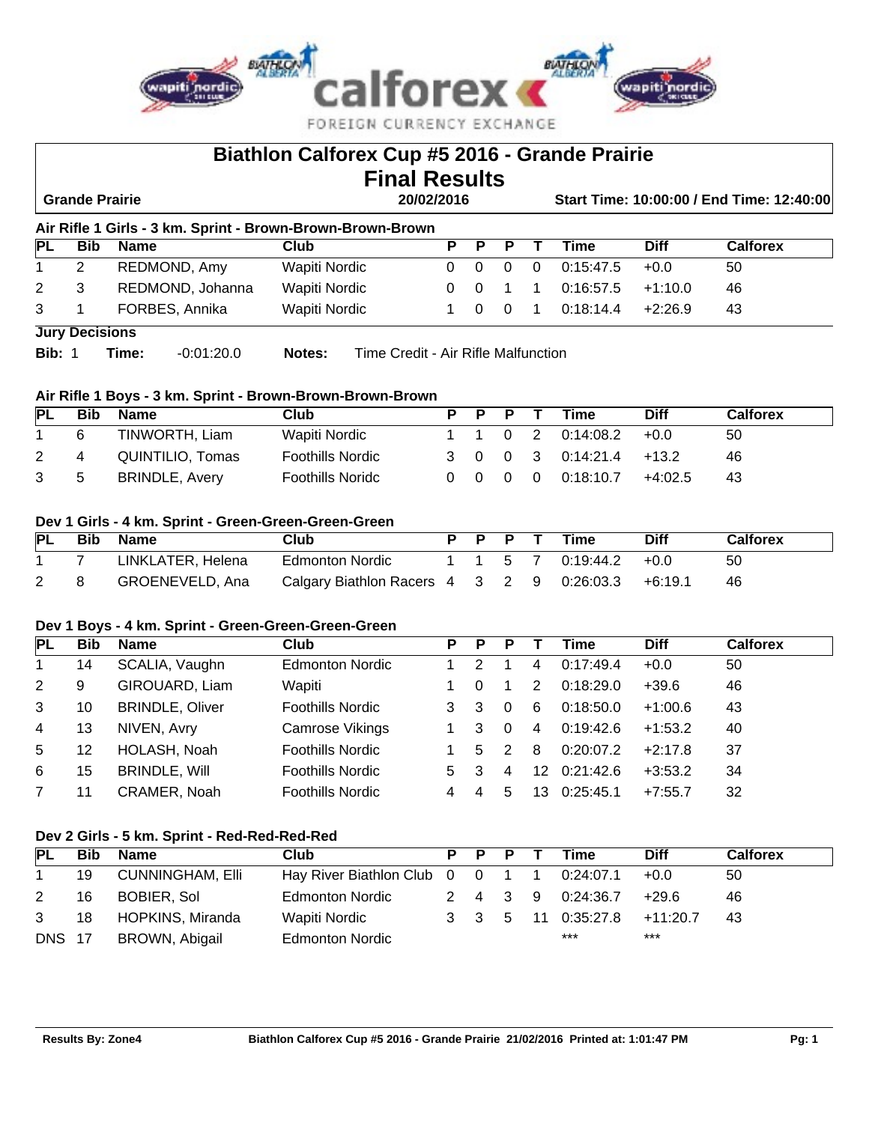

|                                                            | Biathlon Calforex Cup #5 2016 - Grande Prairie<br><b>Final Results</b>            |             |                                                                                                                |                                                           |          |          |                         |                |           |             |                 |  |  |  |
|------------------------------------------------------------|-----------------------------------------------------------------------------------|-------------|----------------------------------------------------------------------------------------------------------------|-----------------------------------------------------------|----------|----------|-------------------------|----------------|-----------|-------------|-----------------|--|--|--|
|                                                            | <b>Grande Prairie</b><br>20/02/2016<br>Start Time: 10:00:00 / End Time: 12:40:00  |             |                                                                                                                |                                                           |          |          |                         |                |           |             |                 |  |  |  |
| Air Rifle 1 Girls - 3 km. Sprint - Brown-Brown-Brown-Brown |                                                                                   |             |                                                                                                                |                                                           |          |          |                         |                |           |             |                 |  |  |  |
| IPL                                                        | <b>Bib</b>                                                                        | <b>Name</b> |                                                                                                                | Club                                                      | Р        | P        | Р                       |                | Time      | <b>Diff</b> | <b>Calforex</b> |  |  |  |
|                                                            | $\mathbf{2}^{\circ}$                                                              |             | REDMOND, Amy                                                                                                   | Wapiti Nordic                                             | $\Omega$ | $\Omega$ | $\Omega$                | $\Omega$       | 0:15:47.5 | $+0.0$      | 50              |  |  |  |
| 2                                                          | 3                                                                                 |             | REDMOND, Johanna<br>Wapiti Nordic<br>0:16:57.5<br>$+1:10.0$<br>46<br>$\Omega$<br>$\Omega$<br>1<br>$\mathbf{1}$ |                                                           |          |          |                         |                |           |             |                 |  |  |  |
| 3                                                          |                                                                                   |             | FORBES, Annika                                                                                                 | Wapiti Nordic                                             | 1        | $\Omega$ | $\overline{\mathbf{0}}$ | $\overline{1}$ | 0:18:14.4 | $+2:26.9$   | 43              |  |  |  |
|                                                            | <b>Jury Decisions</b>                                                             |             |                                                                                                                |                                                           |          |          |                         |                |           |             |                 |  |  |  |
|                                                            | Bib: 1<br>Time:<br>$-0.01:20.0$<br>Time Credit - Air Rifle Malfunction.<br>Notes: |             |                                                                                                                |                                                           |          |          |                         |                |           |             |                 |  |  |  |
|                                                            |                                                                                   |             |                                                                                                                |                                                           |          |          |                         |                |           |             |                 |  |  |  |
|                                                            |                                                                                   |             |                                                                                                                | Air Rifle 1 Boys - 3 km. Sprint - Brown-Brown-Brown-Brown |          |          |                         |                |           |             |                 |  |  |  |
| IPL                                                        | <b>Bib</b>                                                                        | <b>Name</b> |                                                                                                                | Club                                                      | Р        | P        | P                       |                | Time      | <b>Diff</b> | <b>Calforex</b> |  |  |  |

# 1 6 TINWORTH, Liam Wapiti Nordic 1 1 0 2 0:14:08.2 +0.0 50 2 4 QUINTILIO, Tomas Foothills Nordic 3 0 0 3 0:14:21.4 +13.2 46 3 5 BRINDLE, Avery Foothills Noridc 0 0 0 0 0:18:10.7 +4:02.5 43

# **Dev 1 Girls - 4 km. Sprint - Green-Green-Green-Green**

| PL | <b>Bib</b> | <b>Name</b>       | Club                                      | p p p |                             | Time      | <b>Diff</b> | <b>Calforex</b> |
|----|------------|-------------------|-------------------------------------------|-------|-----------------------------|-----------|-------------|-----------------|
|    |            | LINKLATER, Helena | Edmonton Nordic                           |       | $1 \quad 1 \quad 5 \quad 7$ | 0:19:44.2 | +റ റ        | 50              |
|    |            | GROENEVELD, Ana   | Calgary Biathlon Racers 4 3 2 9 0:26:03.3 |       |                             |           | +6:19.1     | 46              |

#### **Dev 1 Boys - 4 km. Sprint - Green-Green-Green-Green**

| PL | <b>Bib</b> | Name                   | Club                    | Р | P  | Р             |    | Time      | <b>Diff</b> | <b>Calforex</b> |
|----|------------|------------------------|-------------------------|---|----|---------------|----|-----------|-------------|-----------------|
| 1  | 14         | SCALIA, Vaughn         | <b>Edmonton Nordic</b>  |   |    |               | 4  | 0:17:49.4 | $+0.0$      | 50              |
| 2  | 9          | GIROUARD, Liam         | Wapiti                  |   |    |               | 2  | 0:18:29.0 | $+39.6$     | 46              |
| 3  | 10         | <b>BRINDLE, Oliver</b> | <b>Foothills Nordic</b> |   | 3  | $\Omega$      | 6  | 0:18:50.0 | $+1:00.6$   | 43              |
| 4  | 13         | NIVEN, Avry            | Camrose Vikings         |   | 3  | $\Omega$      | 4  | 0:19:42.6 | $+1:53.2$   | 40              |
| 5  | 12         | HOLASH, Noah           | <b>Foothills Nordic</b> |   | .5 | $\mathcal{P}$ | 8  | 0:20:07.2 | $+2:17.8$   | 37              |
| 6  | 15         | <b>BRINDLE, Will</b>   | <b>Foothills Nordic</b> | 5 | 3  | 4             | 12 | 0:21:42.6 | $+3:53.2$   | 34              |
|    | 11         | CRAMER, Noah           | <b>Foothills Nordic</b> | 4 |    | 5             | 13 | 0:25:45.1 | $+7:55.7$   | 32              |

# **Dev 2 Girls - 5 km. Sprint - Red-Red-Red-Red**

| PL            | <b>Bib</b> | Name                    | Club                                      | P P | - P     | Time               | <b>Diff</b> | <b>Calforex</b> |
|---------------|------------|-------------------------|-------------------------------------------|-----|---------|--------------------|-------------|-----------------|
|               | 19         | <b>CUNNINGHAM, Elli</b> | Hay River Biathlon Club 0 0 1 1 0:24:07.1 |     |         |                    | $+0.0$      | 50              |
| 2             | 16         | BOBIER, Sol             | <b>Edmonton Nordic</b>                    |     | 2 4 3 9 | 0:24:36.7          | +29.6       | 46              |
| 3             | 18         | HOPKINS, Miranda        | Wapiti Nordic                             |     |         | 3 3 5 11 0:35:27.8 | +11:20.7    | 43              |
| <b>DNS 17</b> |            | <b>BROWN, Abigail</b>   | <b>Edmonton Nordic</b>                    |     |         | $***$              | $***$       |                 |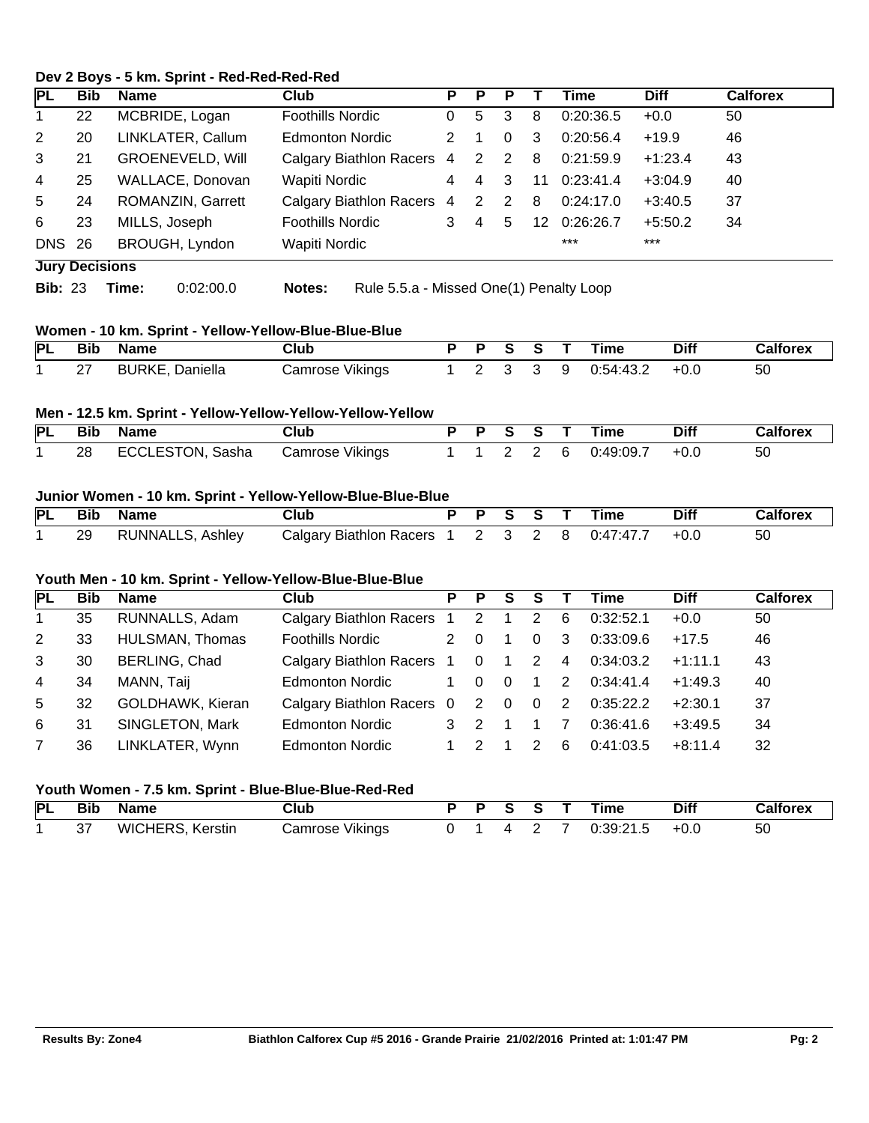# **Dev 2 Boys - 5 km. Sprint - Red-Red-Red-Red**

| PL             | <b>Bib</b>            | Name  |                         | Club                    |                                         | Р              | Р                       | Р              |                 | Time      | <b>Diff</b> | <b>Calforex</b> |
|----------------|-----------------------|-------|-------------------------|-------------------------|-----------------------------------------|----------------|-------------------------|----------------|-----------------|-----------|-------------|-----------------|
| 1              | 22                    |       | MCBRIDE, Logan          | Foothills Nordic        |                                         | 0              | 5                       | 3              | 8               | 0:20:36.5 | $+0.0$      | 50              |
| 2              | 20                    |       | LINKLATER, Callum       | <b>Edmonton Nordic</b>  |                                         | 2              | $\overline{1}$          | $\mathbf{0}$   | 3               | 0:20:56.4 | $+19.9$     | 46              |
| 3              | 21                    |       | <b>GROENEVELD, Will</b> |                         | Calgary Biathlon Racers 4               |                | $\overline{\mathbf{2}}$ | $\overline{2}$ | -8              | 0:21:59.9 | $+1:23.4$   | 43              |
| 4              | 25                    |       | WALLACE, Donovan        | Wapiti Nordic           |                                         | $\overline{4}$ | 4                       | 3              | 11              | 0:23:41.4 | $+3:04.9$   | 40              |
| 5              | 24                    |       | ROMANZIN, Garrett       |                         | Calgary Biathlon Racers 4               |                | 2                       | 2              | 8               | 0:24:17.0 | $+3:40.5$   | 37              |
| 6              | 23                    |       | MILLS, Joseph           | <b>Foothills Nordic</b> |                                         | 3              | 4                       | 5              | 12 <sup>1</sup> | 0:26:26.7 | $+5:50.2$   | 34              |
| <b>DNS 26</b>  |                       |       | BROUGH, Lyndon          | Wapiti Nordic           |                                         |                |                         |                |                 | $***$     | $***$       |                 |
|                | <b>Jury Decisions</b> |       |                         |                         |                                         |                |                         |                |                 |           |             |                 |
| <b>Bib: 23</b> |                       | Time: | 0:02:00.0               | Notes:                  | Rule 5.5.a - Missed One(1) Penalty Loop |                |                         |                |                 |           |             |                 |

## **Women - 10 km. Sprint - Yellow-Yellow-Blue-Blue-Blue**

| <b>PL</b> | – Bib | Name                   | Jlub            | $\angle$ P |  |   | Time      | <b>Diff</b> | Calforex |
|-----------|-------|------------------------|-----------------|------------|--|---|-----------|-------------|----------|
|           | 27    | <b>BURKE, Daniella</b> | Camrose Vikings |            |  | 9 | 0:54:43.2 | $+0.0$      | 50       |

#### **Men - 12.5 km. Sprint - Yellow-Yellow-Yellow-Yellow-Yellow**

|     | PL Bib Name      | Club            | P P S S T |  | Time                | <b>Diff</b> | Calforex |
|-----|------------------|-----------------|-----------|--|---------------------|-------------|----------|
| -28 | ECCLESTON, Sasha | Camrose Vikings |           |  | 1 1 2 2 6 0:49:09.7 | $+0.0$      | -50      |

# **Junior Women - 10 km. Sprint - Yellow-Yellow-Blue-Blue-Blue**

| PL | Bib | <b>Name</b>             | Club                              |  |  | Time    | <b>Diff</b> | `alforex |
|----|-----|-------------------------|-----------------------------------|--|--|---------|-------------|----------|
|    | 29  | <b>RUNNALLS, Ashley</b> | Calgary Biathlon Racers 1 2 3 2 8 |  |  | 0.47.47 | +0.0        | 50       |

#### **Youth Men - 10 km. Sprint - Yellow-Yellow-Blue-Blue-Blue**

| PL | <b>Bib</b> | Name                 | Club                              | P.          | P.             | S.             | S              |                | Time       | <b>Diff</b> | <b>Calforex</b> |
|----|------------|----------------------|-----------------------------------|-------------|----------------|----------------|----------------|----------------|------------|-------------|-----------------|
| 1  | 35         | RUNNALLS, Adam       | Calgary Biathlon Racers 1 2 1     |             |                |                | $\overline{2}$ | 6              | 0:32:52.1  | $+0.0$      | 50              |
| 2  | 33         | HULSMAN, Thomas      | <b>Foothills Nordic</b>           | 2           | $\overline{0}$ |                | $\Omega$       | 3              | 0:33:09.6  | $+17.5$     | 46              |
| 3  | 30         | <b>BERLING, Chad</b> | Calgary Biathlon Racers 1 0 1 2 4 |             |                |                |                |                | 0:34:03.2  | $+1:11.1$   | 43              |
| 4  | 34         | MANN, Taij           | <b>Edmonton Nordic</b>            | 1           | $\Omega$       | $\overline{0}$ | $\overline{1}$ | 2              | 0.34.41.4  | $+1:49.3$   | 40              |
| 5  | 32         | GOLDHAWK, Kieran     | Calgary Biathlon Racers 0 2 0     |             |                |                | $\overline{0}$ | $\overline{2}$ | 0:35:22.2  | $+2:30.1$   | 37              |
| 6  | 31         | SINGLETON, Mark      | <b>Edmonton Nordic</b>            | $3 \quad 2$ |                |                |                |                | 0:36:41.6  | $+3:49.5$   | 34              |
| 7  | 36         | LINKLATER, Wynn      | <b>Edmonton Nordic</b>            |             | -2             |                | $\mathcal{P}$  | 6              | 0.41, 03.5 | $+8:11.4$   | 32              |

#### **Youth Women - 7.5 km. Sprint - Blue-Blue-Blue-Red-Red**

|  | PL Bib Name      | Club            |  | PPSST | Time      | <b>Diff</b> | Calforex |
|--|------------------|-----------------|--|-------|-----------|-------------|----------|
|  | WICHERS, Kerstin | Camrose Vikings |  | 42.   | 0:39:21.5 | $+0.0$      | 50       |